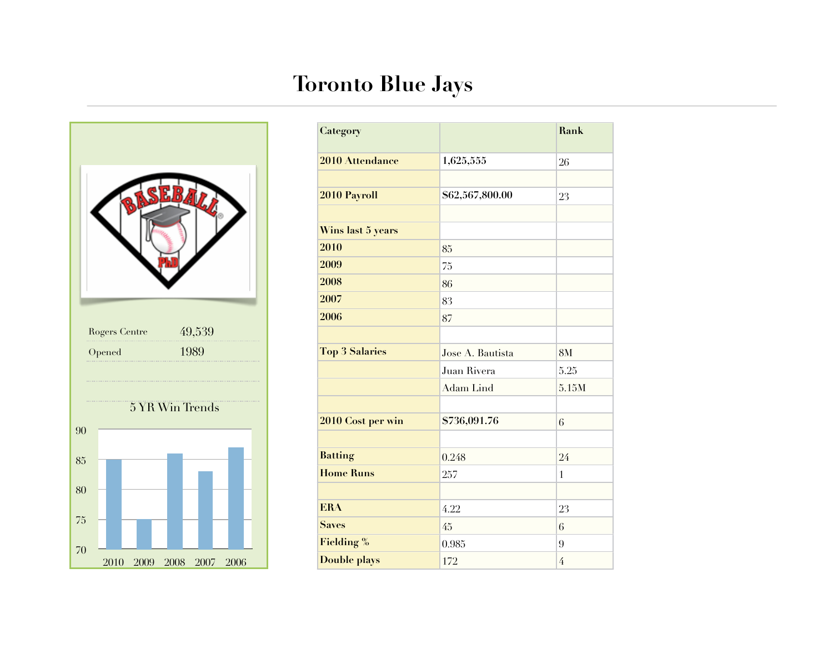## **Toronto Blue Jays**



| Category              |                  | <b>Rank</b>    |
|-----------------------|------------------|----------------|
| 2010 Attendance       | 1,625,555        | 26             |
|                       |                  |                |
| 2010 Payroll          | \$62,567,800.00  | 23             |
|                       |                  |                |
| Wins last 5 years     |                  |                |
| 2010                  | 85               |                |
| 2009                  | 75               |                |
| 2008                  | 86               |                |
| 2007                  | 83               |                |
| 2006                  | 87               |                |
|                       |                  |                |
| <b>Top 3 Salaries</b> | Jose A. Bautista | 8M             |
|                       | Juan Rivera      | 5.25           |
|                       | <b>Adam Lind</b> | 5.15M          |
|                       |                  |                |
| 2010 Cost per win     | \$736,091.76     | 6              |
|                       |                  |                |
| <b>Batting</b>        | 0.248            | 24             |
| <b>Home Runs</b>      | 257              | $\overline{1}$ |
|                       |                  |                |
| <b>ERA</b>            | 4.22             | 23             |
| <b>Saves</b>          | 45               | 6              |
| <b>Fielding %</b>     | 0.985            | 9              |
| <b>Double plays</b>   | 172              | 4              |